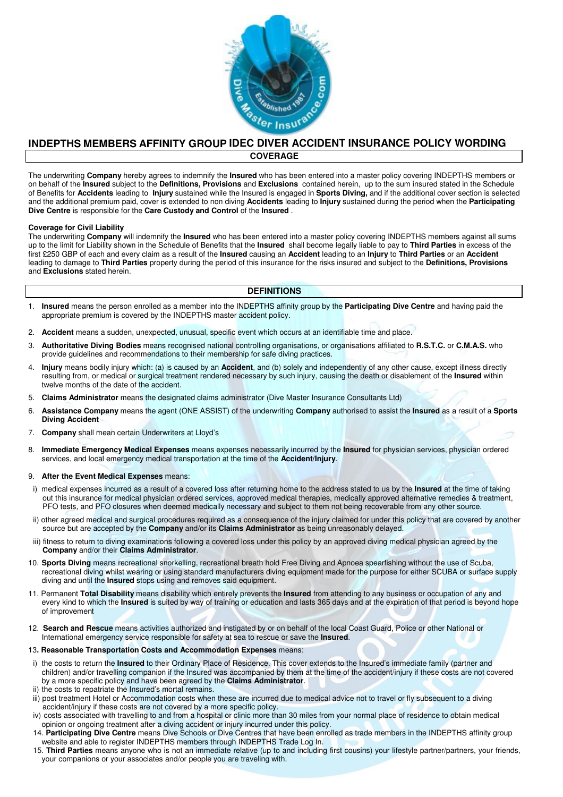

# **INDEPTHS MEMBERS AFFINITY GROUP IDEC DIVER ACCIDENT INSURANCE POLICY WORDING COVERAGE**

The underwriting **Company** hereby agrees to indemnify the **Insured** who has been entered into a master policy covering INDEPTHS members or on behalf of the **Insured** subject to the **Definitions, Provisions** and **Exclusions** contained herein, up to the sum insured stated in the Schedule of Benefits for **Accidents** leading to **Injury** sustained while the Insured is engaged in **Sports Diving,** and if the additional cover section is selected and the additional premium paid, cover is extended to non diving **Accidents** leading to **Injury** sustained during the period when the **Participating Dive Centre** is responsible for the **Care Custody and Control** of the **Insured** .

#### **Coverage for Civil Liability**

The underwriting **Company** will indemnify the **Insured** who has been entered into a master policy covering INDEPTHS members against all sums up to the limit for Liability shown in the Schedule of Benefits that the **Insured** shall become legally liable to pay to **Third Parties** in excess of the first £250 GBP of each and every claim as a result of the **Insured** causing an **Accident** leading to an **Injury** to **Third Parties** or an **Accident**  leading to damage to **Third Parties** property during the period of this insurance for the risks insured and subject to the **Definitions, Provisions**  and **Exclusions** stated herein.

## **DEFINITIONS**

- 1. **Insured** means the person enrolled as a member into the INDEPTHS affinity group by the **Participating Dive Centre** and having paid the appropriate premium is covered by the INDEPTHS master accident policy.
- 2. **Accident** means a sudden, unexpected, unusual, specific event which occurs at an identifiable time and place.
- 3. **Authoritative Diving Bodies** means recognised national controlling organisations, or organisations affiliated to **R.S.T.C.** or **C.M.A.S.** who provide guidelines and recommendations to their membership for safe diving practices.
- 4. **Injury** means bodily injury which: (a) is caused by an **Accident**, and (b) solely and independently of any other cause, except illness directly resulting from, or medical or surgical treatment rendered necessary by such injury, causing the death or disablement of the **Insured** within twelve months of the date of the accident.
- 5. **Claims Administrator** means the designated claims administrator (Dive Master Insurance Consultants Ltd)
- 6. **Assistance Company** means the agent (ONE ASSIST) of the underwriting **Company** authorised to assist the **Insured** as a result of a **Sports Diving Accident**
- 7. **Company** shall mean certain Underwriters at Lloyd's
- 8. **Immediate Emergency Medical Expenses** means expenses necessarily incurred by the **Insured** for physician services, physician ordered services, and local emergency medical transportation at the time of the **Accident/Injury**.

#### 9. **After the Event Medical Expenses** means:

- i) medical expenses incurred as a result of a covered loss after returning home to the address stated to us by the **Insured** at the time of taking out this insurance for medical physician ordered services, approved medical therapies, medically approved alternative remedies & treatment, PFO tests, and PFO closures when deemed medically necessary and subject to them not being recoverable from any other source.
- ii) other agreed medical and surgical procedures required as a consequence of the injury claimed for under this policy that are covered by another source but are accepted by the **Company** and/or its **Claims Administrator** as being unreasonably delayed.
- iii) fitness to return to diving examinations following a covered loss under this policy by an approved diving medical physician agreed by the **Company** and/or their **Claims Administrator**.
- 10. **Sports Diving** means recreational snorkelling, recreational breath hold Free Diving and Apnoea spearfishing without the use of Scuba, recreational diving whilst wearing or using standard manufacturers diving equipment made for the purpose for either SCUBA or surface supply diving and until the **Insured** stops using and removes said equipment.
- 11. Permanent **Total Disability** means disability which entirely prevents the **Insured** from attending to any business or occupation of any and every kind to which the **Insured** is suited by way of training or education and lasts 365 days and at the expiration of that period is beyond hope of improvement
- 12. **Search and Rescue** means activities authorized and instigated by or on behalf of the local Coast Guard, Police or other National or International emergency service responsible for safety at sea to rescue or save the **Insured**.

#### 13**. Reasonable Transportation Costs and Accommodation Expenses** means:

- i) the costs to return the **Insured** to their Ordinary Place of Residence. This cover extends to the Insured's immediate family (partner and children) and/or travelling companion if the Insured was accompanied by them at the time of the accident/injury if these costs are not covered by a more specific policy and have been agreed by the **Claims Administrator**.
- ii) the costs to repatriate the Insured's mortal remains.
- iii) post treatment Hotel or Accommodation costs when these are incurred due to medical advice not to travel or fly subsequent to a diving accident/injury if these costs are not covered by a more specific policy.
- iv) costs associated with travelling to and from a hospital or clinic more than 30 miles from your normal place of residence to obtain medical opinion or ongoing treatment after a diving accident or injury incurred under this policy.
- 14. **Participating Dive Centre** means Dive Schools or Dive Centres that have been enrolled as trade members in the INDEPTHS affinity group website and able to register INDEPTHS members through INDEPTHS Trade Log In.
- 15. **Third Parties** means anyone who is not an immediate relative (up to and including first cousins) your lifestyle partner/partners, your friends, your companions or your associates and/or people you are traveling with.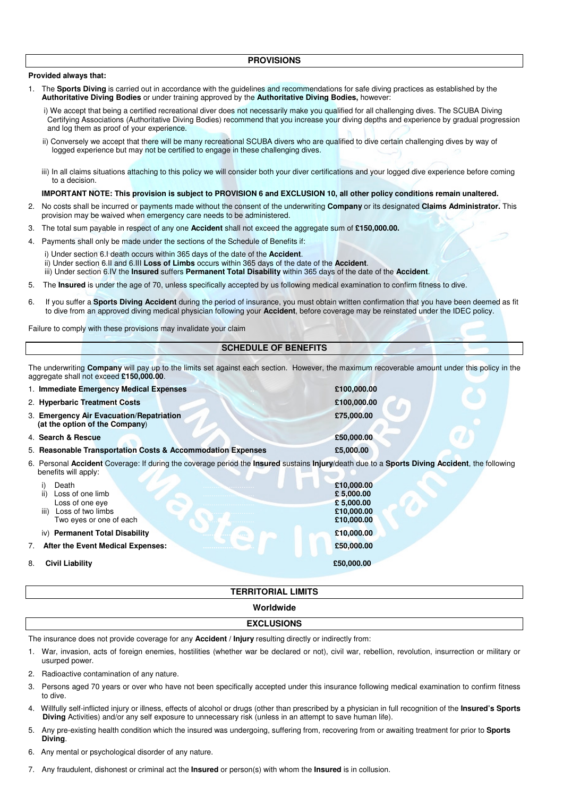#### **Provided always that:**

- 1. The **Sports Diving** is carried out in accordance with the guidelines and recommendations for safe diving practices as established by the **Authoritative Diving Bodies** or under training approved by the **Authoritative Diving Bodies,** however:
	- i) We accept that being a certified recreational diver does not necessarily make you qualified for all challenging dives. The SCUBA Diving Certifying Associations (Authoritative Diving Bodies) recommend that you increase your diving depths and experience by gradual progression and log them as proof of your experience.
	- ii) Conversely we accept that there will be many recreational SCUBA divers who are qualified to dive certain challenging dives by way of logged experience but may not be certified to engage in these challenging dives.
	- iii) In all claims situations attaching to this policy we will consider both your diver certifications and your logged dive experience before coming to a decision.

#### **IMPORTANT NOTE: This provision is subject to PROVISION 6 and EXCLUSION 10, all other policy conditions remain unaltered.**

- 2. No costs shall be incurred or payments made without the consent of the underwriting **Company** or its designated **Claims Administrator.** This provision may be waived when emergency care needs to be administered.
- 3. The total sum payable in respect of any one **Accident** shall not exceed the aggregate sum of **£150,000.00.**
- 4. Payments shall only be made under the sections of the Schedule of Benefits if:
	- i) Under section 6.I death occurs within 365 days of the date of the **Accident**. ii) Under section 6.II and 6.III **Loss of Limbs** occurs within 365 days of the date of the **Accident**. iii) Under section 6.IV the **Insured** suffers **Permanent Total Disability** within 365 days of the date of the **Accident**.
- 5. The **Insured** is under the age of 70, unless specifically accepted by us following medical examination to confirm fitness to dive.
- 6. If you suffer a **Sports Diving Accident** during the period of insurance, you must obtain written confirmation that you have been deemed as fit to dive from an approved diving medical physician following your **Accident**, before coverage may be reinstated under the IDEC policy.

Failure to comply with these provisions may invalidate your claim

# **SCHEDULE OF BENEFITS**

The underwriting **Company** will pay up to the limits set against each section. However, the maximum recoverable amount under this policy in the aggregate shall not exceed **£150,000.00**.

|                                                                                                                                                                       | 1. Immediate Emergency Medical Expenses                                                              | £100,000.00                                                       |
|-----------------------------------------------------------------------------------------------------------------------------------------------------------------------|------------------------------------------------------------------------------------------------------|-------------------------------------------------------------------|
|                                                                                                                                                                       | 2. Hyperbaric Treatment Costs                                                                        | £100,000.00                                                       |
|                                                                                                                                                                       | 3. Emergency Air Evacuation/Repatriation<br>(at the option of the Company)                           | £75,000.00                                                        |
|                                                                                                                                                                       | 4. Search & Rescue                                                                                   | £50,000.00                                                        |
|                                                                                                                                                                       | 5. Reasonable Transportation Costs & Accommodation Expenses                                          | £5,000.00                                                         |
| 6. Personal Accident Coverage: If during the coverage period the Insured sustains Injury/death due to a Sports Diving Accident, the following<br>benefits will apply: |                                                                                                      |                                                                   |
|                                                                                                                                                                       | Death<br>Loss of one limb<br>Loss of one eye<br>Loss of two limbs<br>iii)<br>Two eyes or one of each | £10,000.00<br>£5,000.00<br>£ 5,000.00<br>£10,000.00<br>£10,000.00 |
|                                                                                                                                                                       | iv) Permanent Total Disability                                                                       | £10,000.00                                                        |
| 7.                                                                                                                                                                    | After the Event Medical Expenses:                                                                    | £50,000.00                                                        |
| 8.                                                                                                                                                                    | <b>Civil Liability</b>                                                                               | £50,000.00                                                        |

#### **TERRITORIAL LIMITS**

**Worldwide** 

## **EXCLUSIONS**

The insurance does not provide coverage for any **Accident / Injury** resulting directly or indirectly from:

- 1. War, invasion, acts of foreign enemies, hostilities (whether war be declared or not), civil war, rebellion, revolution, insurrection or military or usurped power.
- 2. Radioactive contamination of any nature.
- 3. Persons aged 70 years or over who have not been specifically accepted under this insurance following medical examination to confirm fitness to dive.
- 4. Willfully self-inflicted injury or illness, effects of alcohol or drugs (other than prescribed by a physician in full recognition of the **Insured's Sports Diving** Activities) and/or any self exposure to unnecessary risk (unless in an attempt to save human life).
- 5. Any pre-existing health condition which the insured was undergoing, suffering from, recovering from or awaiting treatment for prior to **Sports Diving**.
- 6. Any mental or psychological disorder of any nature.
- 7. Any fraudulent, dishonest or criminal act the **Insured** or person(s) with whom the **Insured** is in collusion.